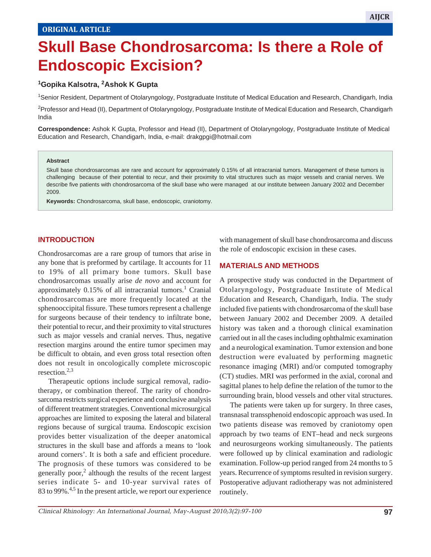# **Skull Base Chondrosarcoma: Is there a Role of Endoscopic Excision?**

#### **1Gopika Kalsotra, 2Ashok K Gupta**

1 Senior Resident, Department of Otolaryngology, Postgraduate Institute of Medical Education and Research, Chandigarh, India

<sup>2</sup>Professor and Head (II), Department of Otolaryngology, Postgraduate Institute of Medical Education and Research, Chandigarh India

**Correspondence:** Ashok K Gupta, Professor and Head (II), Department of Otolaryngology, Postgraduate Institute of Medical Education and Research, Chandigarh, India, e-mail: drakgpgi@hotmail.com

#### **Abstract**

Skull base chondrosarcomas are rare and account for approximately 0.15% of all intracranial tumors. Management of these tumors is challenging because of their potential to recur, and their proximity to vital structures such as major vessels and cranial nerves. We describe five patients with chondrosarcoma of the skull base who were managed at our institute between January 2002 and December 2009.

**Keywords:** Chondrosarcoma, skull base, endoscopic, craniotomy.

#### **INTRODUCTION**

Chondrosarcomas are a rare group of tumors that arise in any bone that is preformed by cartilage. It accounts for 11 to 19% of all primary bone tumors. Skull base chondrosarcomas usually arise *de novo* and account for approximately 0.15% of all intracranial tumors.<sup>1</sup> Cranial chondrosarcomas are more frequently located at the sphenooccipital fissure. These tumors represent a challenge for surgeons because of their tendency to infiltrate bone, their potential to recur, and their proximity to vital structures such as major vessels and cranial nerves. Thus, negative resection margins around the entire tumor specimen may be difficult to obtain, and even gross total resection often does not result in oncologically complete microscopic resection.2,3

Therapeutic options include surgical removal, radiotherapy, or combination thereof. The rarity of chondrosarcoma restricts surgical experience and conclusive analysis of different treatment strategies. Conventional microsurgical approaches are limited to exposing the lateral and bilateral regions because of surgical trauma. Endoscopic excision provides better visualization of the deeper anatomical structures in the skull base and affords a means to 'look around corners'. It is both a safe and efficient procedure. The prognosis of these tumors was considered to be generally poor,<sup>2</sup> although the results of the recent largest series indicate 5- and 10-year survival rates of 83 to 99%.<sup>4,5</sup> In the present article, we report our experience

with management of skull base chondrosarcoma and discuss the role of endoscopic excision in these cases.

 $S_{\rm eff}$  Base  $C_{\rm eff}$  is the a Role of Endoscopic Eq. ( ) is the a Role of Endoscopic Eq. (

#### **MATERIALS AND METHODS**

A prospective study was conducted in the Department of Otolaryngology, Postgraduate Institute of Medical Education and Research, Chandigarh, India. The study included five patients with chondrosarcoma of the skull base between January 2002 and December 2009. A detailed history was taken and a thorough clinical examination carried out in all the cases including ophthalmic examination and a neurological examination. Tumor extension and bone destruction were evaluated by performing magnetic resonance imaging (MRI) and/or computed tomography (CT) studies. MRI was performed in the axial, coronal and sagittal planes to help define the relation of the tumor to the surrounding brain, blood vessels and other vital structures.

The patients were taken up for surgery. In three cases, transnasal transsphenoid endoscopic approach was used. In two patients disease was removed by craniotomy open approach by two teams of ENT–head and neck surgeons and neurosurgeons working simultaneously. The patients were followed up by clinical examination and radiologic examination. Follow-up period ranged from 24 months to 5 years. Recurrence of symptoms resulted in revision surgery. Postoperative adjuvant radiotherapy was not administered routinely.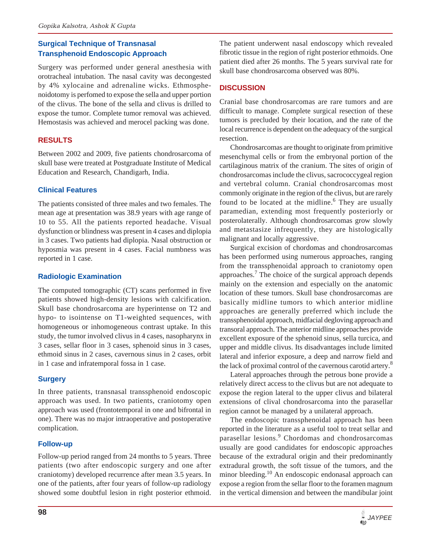# **Surgical Technique of Transnasal Transphenoid Endoscopic Approach**

Surgery was performed under general anesthesia with orotracheal intubation. The nasal cavity was decongested by 4% xylocaine and adrenaline wicks. Ethmosphenoidotomy is perfomed to expose the sella and upper portion of the clivus. The bone of the sella and clivus is drilled to expose the tumor. Complete tumor removal was achieved. Hemostasis was achieved and merocel packing was done.

## **RESULTS**

Between 2002 and 2009, five patients chondrosarcoma of skull base were treated at Postgraduate Institute of Medical Education and Research, Chandigarh, India.

#### **Clinical Features**

The patients consisted of three males and two females. The mean age at presentation was 38.9 years with age range of 10 to 55. All the patients reported headache. Visual dysfunction or blindness was present in 4 cases and diplopia in 3 cases. Two patients had diplopia. Nasal obstruction or hyposmia was present in 4 cases. Facial numbness was reported in 1 case.

#### **Radiologic Examination**

The computed tomographic (CT) scans performed in five patients showed high-density lesions with calcification. Skull base chondrosarcoma are hyperintense on T2 and hypo- to isointense on T1-weighted sequences, with homogeneous or inhomogeneous contrast uptake. In this study, the tumor involved clivus in 4 cases, nasopharynx in 3 cases, sellar floor in 3 cases, sphenoid sinus in 3 cases, ethmoid sinus in 2 cases, cavernous sinus in 2 cases, orbit in 1 case and infratemporal fossa in 1 case.

# **Surgery**

In three patients, transnasal transsphenoid endoscopic approach was used. In two patients, craniotomy open approach was used (frontotemporal in one and bifrontal in one). There was no major intraoperative and postoperative complication.

## **Follow-up**

Follow-up period ranged from 24 months to 5 years. Three patients (two after endoscopic surgery and one after craniotomy) developed recurrence after mean 3.5 years. In one of the patients, after four years of follow-up radiology showed some doubtful lesion in right posterior ethmoid. The patient underwent nasal endoscopy which revealed fibrotic tissue in the region of right posterior ethmoids. One patient died after 26 months. The 5 years survival rate for skull base chondrosarcoma observed was 80%.

## **DISCUSSION**

Cranial base chondrosarcomas are rare tumors and are difficult to manage. Complete surgical resection of these tumors is precluded by their location, and the rate of the local recurrence is dependent on the adequacy of the surgical resection.

Chondrosarcomas are thought to originate from primitive mesenchymal cells or from the embryonal portion of the cartilaginous matrix of the cranium. The sites of origin of chondrosarcomas include the clivus, sacrococcygeal region and vertebral column. Cranial chondrosarcomas most commonly originate in the region of the clivus, but are rarely found to be located at the midline.<sup>6</sup> They are usually paramedian, extending most frequently posteriorly or posterolaterally. Although chondrosarcomas grow slowly and metastasize infrequently, they are histologically malignant and locally aggressive.

Surgical excision of chordomas and chondrosarcomas has been performed using numerous approaches, ranging from the transsphenoidal approach to craniotomy open approaches.<sup>7</sup> The choice of the surgical approach depends mainly on the extension and especially on the anatomic location of these tumors. Skull base chondrosarcomas are basically midline tumors to which anterior midline approaches are generally preferred which include the transsphenoidal approach, midfacial degloving approach and transoral approach. The anterior midline approaches provide excellent exposure of the sphenoid sinus, sella turcica, and upper and middle clivus. Its disadvantages include limited lateral and inferior exposure, a deep and narrow field and the lack of proximal control of the cavernous carotid artery.<sup>8</sup>

Lateral approaches through the petrous bone provide a relatively direct access to the clivus but are not adequate to expose the region lateral to the upper clivus and bilateral extensions of clival chondrosarcoma into the parasellar region cannot be managed by a unilateral approach.

The endoscopic transsphenoidal approach has been reported in the literature as a useful tool to treat sellar and parasellar lesions.<sup>9</sup> Chordomas and chondrosarcomas usually are good candidates for endoscopic approaches because of the extradural origin and their predominantly extradural growth, the soft tissue of the tumors, and the minor bleeding.<sup>10</sup> An endoscopic endonasal approach can expose a region from the sellar floor to the foramen magnum in the vertical dimension and between the mandibular joint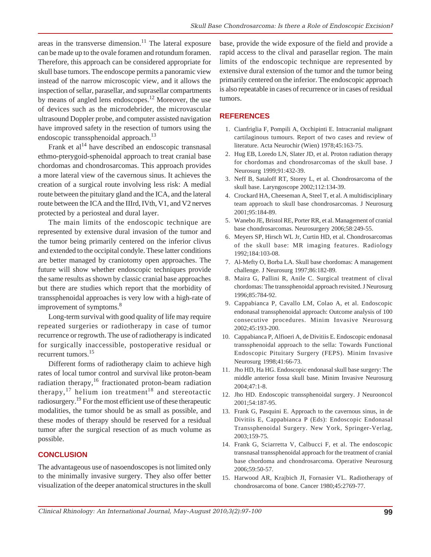areas in the transverse dimension. $11$  The lateral exposure can be made up to the ovale foramen and rotundum foramen. Therefore, this approach can be considered appropriate for skull base tumors. The endoscope permits a panoramic view instead of the narrow microscopic view, and it allows the inspection of sellar, parasellar, and suprasellar compartments by means of angled lens endoscopes.<sup>12</sup> Moreover, the use of devices such as the microdebrider, the microvascular ultrasound Doppler probe, and computer assisted navigation have improved safety in the resection of tumors using the endoscopic transsphenoidal approach.<sup>13</sup>

Frank et  $al<sup>14</sup>$  have described an endoscopic transnasal ethmo-pterygoid-sphenoidal approach to treat cranial base chordomas and chondrosarcomas. This approach provides a more lateral view of the cavernous sinus. It achieves the creation of a surgical route involving less risk: A medial route between the pituitary gland and the ICA, and the lateral route between the ICA and the IIIrd, IVth, V1, and V2 nerves protected by a periosteal and dural layer.

The main limits of the endoscopic technique are represented by extensive dural invasion of the tumor and the tumor being primarily centered on the inferior clivus and extended to the occipital condyle. These latter conditions are better managed by craniotomy open approaches. The future will show whether endoscopic techniques provide the same results as shown by classic cranial base approaches but there are studies which report that the morbidity of transsphenoidal approaches is very low with a high-rate of improvement of symptoms.<sup>8</sup>

Long-term survival with good quality of life may require repeated surgeries or radiotherapy in case of tumor recurrence or regrowth. The use of radiotherapy is indicated for surgically inaccessible, postoperative residual or recurrent tumors.15

Different forms of radiotherapy claim to achieve high rates of local tumor control and survival like proton-beam radiation therapy, $16$  fractionated proton-beam radiation therapy,  $17$  helium ion treatment<sup>18</sup> and stereotactic radiosurgery.19 For the most efficient use of these therapeutic modalities, the tumor should be as small as possible, and these modes of therapy should be reserved for a residual tumor after the surgical resection of as much volume as possible.

#### **CONCLUSION**

The advantageous use of nasoendoscopes is not limited only to the minimally invasive surgery. They also offer better visualization of the deeper anatomical structures in the skull base, provide the wide exposure of the field and provide a rapid access to the clival and parasellar region. The main limits of the endoscopic technique are represented by extensive dural extension of the tumor and the tumor being primarily centered on the inferior. The endoscopic approach is also repeatable in cases of recurrence or in cases of residual tumors.

#### **REFERENCES**

- 1. Cianfriglia F, Pompili A, Occhipinti E. Intracranial malignant cartilaginous tumours. Report of two cases and review of literature. Acta Neurochir (Wien) 1978;45:163-75.
- 2. Hug EB, Loredo LN, Slater JD, et al. Proton radiation therapy for chordomas and chondrosarcomas of the skull base. J Neurosurg 1999;91:432-39.
- 3. Neff B, Sataloff RT, Storey L, et al. Chondrosarcoma of the skull base. Laryngoscope 2002;112:134-39.
- 4. Crockard HA, Cheeseman A, Steel T, et al. A multidisciplinary team approach to skull base chondrosarcomas. J Neurosurg 2001;95:184-89.
- 5. Wanebo JE, Bristol RE, Porter RR, et al. Management of cranial base chondrosarcomas. Neurosurgery 2006;58:249-55.
- 6. Meyers SP, Hirsch WL Jr, Curtin HD, et al. Chondrosarcomas of the skull base: MR imaging features. Radiology 1992;184:103-08.
- 7. Al-Mefty O, Borba LA. Skull base chordomas: A management challenge. J Neurosurg 1997;86:182-89.
- 8. Maira G, Pallini R, Anile C. Surgical treatment of clival chordomas: The transsphenoidal approach revisited. J Neurosurg 1996;85:784-92.
- 9. Cappabianca P, Cavallo LM, Colao A, et al. Endoscopic endonasal transsphenoidal approach: Outcome analysis of 100 consecutive procedures. Minim Invasive Neurosurg 2002;45:193-200.
- 10. Cappabianca P, Alfioeri A, de Divitiis E. Endoscopic endonasal transsphenoidal approach to the sella: Towards Functional Endoscopic Pituitary Surgery (FEPS). Minim Invasive Neurosurg 1998;41:66-73.
- 11. Jho HD, Ha HG. Endoscopic endonasal skull base surgery: The middle anterior fossa skull base. Minim Invasive Neurosurg 2004;47:1-8.
- 12. Jho HD. Endoscopic transsphenoidal surgery. J Neurooncol 2001;54:187-95.
- 13. Frank G, Pasquini E. Approach to the cavernous sinus, in de Divitiis E, Cappabianca P (Eds): Endoscopic Endonasal Transsphenoidal Surgery. New York, Springer-Verlag, 2003;159-75.
- 14. Frank G, Sciarretta V, Calbucci F, et al. The endoscopic transnasal transsphenoidal approach for the treatment of cranial base chordoma and chondrosarcoma. Operative Neurosurg 2006;59:50-57.
- 15. Harwood AR, Krajbich JI, Fornasier VL. Radiotherapy of chondrosarcoma of bone. Cancer 1980;45:2769-77.